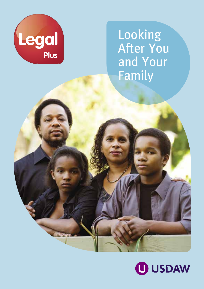

Looking After You and Your Family

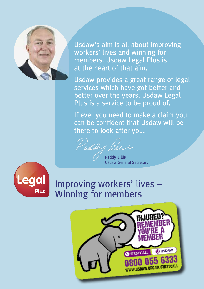

Usdaw's aim is all about improving workers' lives and winning for members. Usdaw Legal Plus is at the heart of that aim.

Usdaw provides a great range of legal services which have got better and better over the years. Usdaw Legal Plus is a service to be proud of.

If ever you need to make a claim you can be confident that Usdaw will be there to look after you.

Paddy Pien

**Paddy Lillis** Usdaw General Secretary



# Improving workers' lives – Winning for members

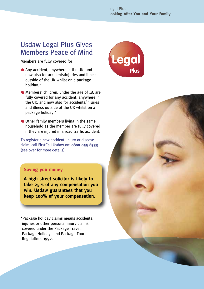#### Usdaw Legal Plus Gives Members Peace of Mind

Members are fully covered for:

- Any accident, anywhere in the UK, and now also for accidents/injuries and illness outside of the UK whilst on a package holiday.\*
- Members' children, under the age of 18, are fully covered for any accident, anywhere in the UK, and now also for accidents/injuries and illness outside of the UK whilst on a package holiday.\*
- Other family members living in the same household as the member are fully covered if they are injured in a road traffic accident.

To register a new accident, injury or disease claim, call FirstCall Usdaw on: **0800 055 6333** (see over for more details).

#### **Saving you money**

**A high street solicitor is likely to take 25% of any compensation you win. Usdaw guarantees that you keep 100% of your compensation.**

\*Package holiday claims means accidents, injuries or other personal injury claims covered under the Package Travel, Package Holidays and Package Tours Regulations 1992.



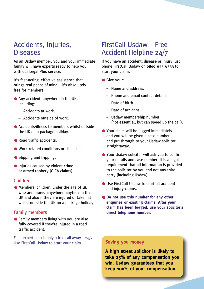## Accidents, Injuries, **Diseases**

As an Usdaw member, you and your immediate family will have experts ready to help you, with our Legal Plus service.

It's fast-acting, effective assistance that brings real peace of mind – it's absolutely free for members:

- **Any accident, anywhere in the UK,** including:
	- Accidents at work.
	- Accidents outside of work.
- Accidents/illness to members whilst outside the UK on a package holiday.
- **Road traffic accidents**
- **Work-related conditions or diseases**
- **Slipping and tripping.**
- **Injuries caused by violent crime** or armed robbery (CICA claims).

#### Children

Members' children, under the age of 18, who are injured anywhere, anytime in the UK and also if they are injured or taken ill whilst outside the UK on a package holiday.

#### Family members

**•** Family members living with you are also fully covered if they're injured in a road traffic accident.

Fast, expert help is only a free call away  $-24/7$ . Use FirstCall Usdaw to start your claim. **Saving you money**

## FirstCall Usdaw – Free Accident Helpline 24/7

If you have an accident, disease or injury just phone FirstCall Usdaw on **0800 055 6333** to start your claim.

- Give your:
	- Name and address.
	- Phone and email contact details.
	- Date of birth.
	- Date of accident.
	- Usdaw membership number (not essential, but can speed up the call).
- Your claim will be logged immediately and you will be given a case number and put through to your Usdaw solicitor straightaway.
- Your Usdaw solicitor will ask you to confirm your details and case number. It is a legal requirement that all information is provided to the solicitor by you and not any third party (including Usdaw).
- Use FirstCall Usdaw to start all accident and iniury claims.
- **Do not use this number for any other enquiries or existing claims. After your claim has been logged, use your solicitor's direct telephone number**.

**A high street solicitor is likely to take 25% of any compensation you win. Usdaw guarantees that you keep 100% of your compensation.**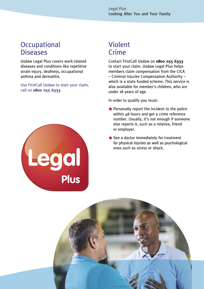#### **Occupational Diseases**

Usdaw Legal Plus covers work-related diseases and conditions like repetitive strain injury, deafness, occupational asthma and dermatitis.

Use FirstCall Usdaw to start your claim, call on **0800 055 6333**.



## Violent Crime

Contact FirstCall Usdaw on **0800 055 6333** to start your claim. Usdaw Legal Plus helps members claim compensation from the CICA – Criminal Injuries Compensation Authority – which is a state funded scheme. This service is also available for member's children, who are under 18 years of age.

In order to qualify you must:

- **•** Personally report the incident to the police within 48 hours and get a crime reference number. Usually, it's not enough if someone else reports it, such as a relative, friend or employer.
- See a doctor immediately for treatment for physical injuries as well as psychological ones such as stress or shock.

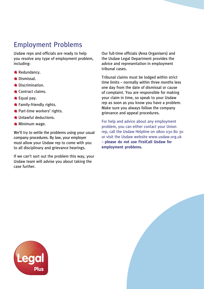## Employment Problems

Usdaw reps and officials are ready to help you resolve any type of employment problem, including:

- Redundancy.
- **Dismissal**
- **ODiscrimination.**
- Contract claims.
- Caual pay.
- **G** Family-friendly rights.
- **Part-time workers' rights.**
- **Unlawful deductions.**
- **Minimum wage.**

We'll try to settle the problems using your usual company procedures. By law, your employer must allow your Usdaw rep to come with you to all disciplinary and grievance hearings.

If we can't sort out the problem this way, your Usdaw team will advise you about taking the case further.

Our full-time officials (Area Organisers) and the Usdaw Legal Department provides the advice and representation in employment tribunal cases.

Tribunal claims must be lodged within strict time limits – normally within three months less one day from the date of dismissal or cause of complaint. You are responsible for making your claim in time, so speak to your Usdaw rep as soon as you know you have a problem. Make sure you always follow the company grievance and appeal procedures.

For help and advice about any employment problem, you can either contact your Union rep, call the Usdaw Helpline on 0800 030 80 30 or visit the Usdaw website www.usdaw.org.uk – **please do not use FirstCall Usdaw for employment problems.**

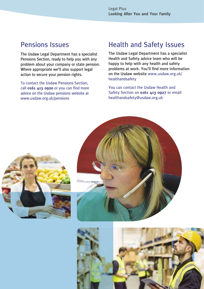#### Pensions Issues

The Usdaw Legal Department has a specialist Pensions Section, ready to help you with any problem about your company or state pension. Where appropriate we'll also support legal action to secure your pension rights.

To contact the Usdaw Pensions Section, call **0161 413 0920** or you can find more advice on the Usdaw pensions website at www.usdaw.org.uk/pensions

### Health and Safety Issues

The Usdaw Legal Department has a specialist Health and Safety advice team who will be happy to help with any health and safety problems at work. You'll find more information on the Usdaw website www.usdaw.org.uk/ healthandsafety

You can contact the Usdaw Health and Safety Section on **0161 413 0927** or email healthandsafety@usdaw.org.uk





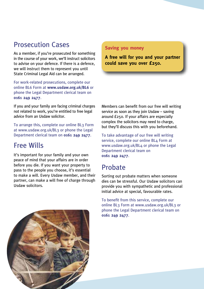## Prosecution Cases

As a member, if you're prosecuted for something in the course of your work, we'll instruct solicitors to advise on your defence. If there is a defence, we will instruct them to represent you until State Criminal Legal Aid can be arranged.

For work-related prosecutions, complete our online BL6 Form at **www.usdaw.org.uk/BL6** or phone the Legal Department clerical team on **0161 249 2477**.

If you and your family are facing criminal charges not related to work, you're entitled to free legal advice from an Usdaw solicitor.

To arrange this, complete our online BL3 Form at www.usdaw.org.uk/BL3 or phone the Legal Department clerical team on **0161 249 2477**.

### Free Wills

It's important for your family and your own peace of mind that your affairs are in order before you die. If you want your property to pass to the people you choose, it's essential to make a will. Every Usdaw member, and their partner, can make a will free of charge through Usdaw solicitors.

#### **Saving you money**

**A free will for you and your partner could save you over £250.**

Members can benefit from our free will writing service as soon as they join Usdaw – saving around £250. If your affairs are especially complex the solicitors may need to charge, but they'll discuss this with you beforehand.

To take advantage of our free will writing service, complete our online BL4 Form at www.usdaw.org.uk/BL4 or phone the Legal Department clerical team on **0161 249 2477**.

## Probate

Sorting out probate matters when someone dies can be stressful. Our Usdaw solicitors can provide you with sympathetic and professional initial advice at special, favourable rates.

To benefit from this service, complete our online BL3 Form at www.usdaw.org.uk/BL3 or phone the Legal Department clerical team on **0161 249 2477**.

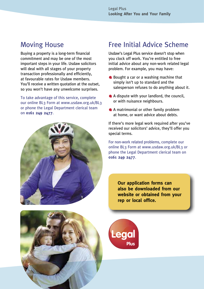#### Moving House

Buying a property is a long-term financial commitment and may be one of the most important steps in your life. Usdaw solicitors will deal with all stages of your property transaction professionally and efficiently, at favourable rates for Usdaw members. You'll receive a written quotation at the outset, so you won't have any unwelcome surprises.

To take advantage of this service, complete our online BL3 Form at www.usdaw.org.uk/BL3 or phone the Legal Department clerical team on **0161 249 2477**.



## Free Initial Advice Scheme

Usdaw's Legal Plus service doesn't stop when you clock off work. You're entitled to free initial advice about any non-work related legal problem. For example, you may have:

- Bought a car or a washing machine that simply isn't up to standard and the salesperson refuses to do anything about it.
- A dispute with your landlord, the council, or with nuisance neighbours.
- A matrimonial or other family problem at home, or want advice about debts.

If there's more legal work required after you've received our solicitors' advice, they'll offer you special terms.

For non-work related problems, complete our online BL3 Form at www.usdaw.org.uk/BL3 or phone the Legal Department clerical team on **0161 249 2477**.

> **Our application forms can also be downloaded from our website or obtained from your rep or local office.**

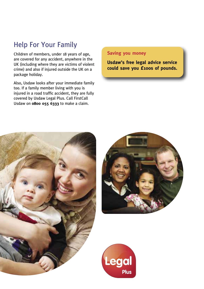## Help For Your Family

Children of members, under 18 years of age, are covered for any accident, anywhere in the UK (including where they are victims of violent crime) and also if injured outside the UK on a package holiday.

Also, Usdaw looks after your immediate family too. If a family member living with you is injured in a road traffic accident, they are fully covered by Usdaw Legal Plus. Call FirstCall Usdaw on **0800 055 6333** to make a claim.

#### **Saving you money**

**Usdaw's free legal advice service could save you £100s of pounds.**





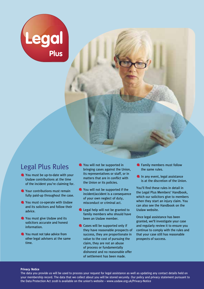

#### Legal Plus Rules

- You must be up-to-date with your Usdaw contributions at the time of the incident you're claiming for.
- **C** Your contributions must remain fully paid-up throughout the case.
- **C** You must co-operate with Usdaw and its solicitors and follow their advice.
- **C** You must give Usdaw and its solicitors accurate and honest information.
- You must not take advice from other legal advisers at the same time.
- You will not be supported in bringing cases against the Union, its representatives or staff, or in matters that are in conflict with the Union or its policies.
- You will not be supported if the incident/accident is a consequence of your own neglect of duty, misconduct or criminal act.
- **Legal help will not be granted to** family members who should have been an Usdaw member.
- Cases will be supported only if they have reasonable prospects of success, they are proportionate in value to the cost of pursuing the claim, they are not an abuse of process or fundamentally dishonest and no reasonable offer of settlement has been made.
- **C** Family members must follow the same rules.
- In any event, legal assistance is at the discretion of the Union.

You'll find these rules in detail in the Legal Plus Members' Handbook, which our solicitors give to members when they start an injury claim. You can also see the Handbook on the Usdaw website.

Once legal assistance has been granted, we'll investigate your case and regularly review it to ensure you continue to comply with the rules and that your case still has reasonable prospects of success.

#### **Privacy Notice**

The data you provide us will be used to process your request for legal assistance as well as updating any contact details held on your membership record. The data that we collect about you will be stored securely. Our policy and privacy statement pursuant to the Data Protection Act 2018 is available on the union's website – www.usdaw.org.uk/Privacy-Notice